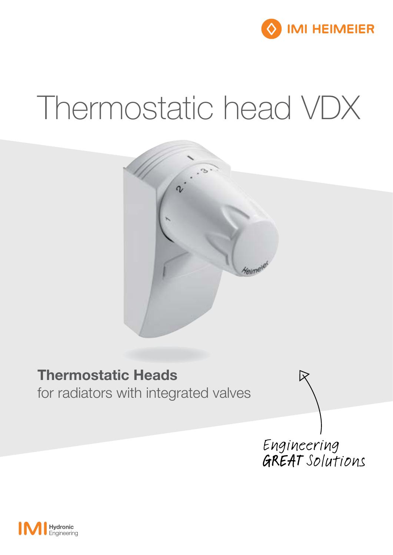

# Thermostatic head VDX



# Thermostatic Heads

for radiators with integrated valves

Engineering<br>GREAT Solutions

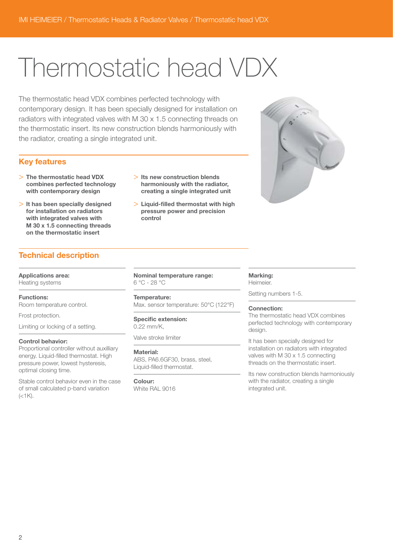# Thermostatic head VDX

The thermostatic head VDX combines perfected technology with contemporary design. It has been specially designed for installation on radiators with integrated valves with M 30 x 1.5 connecting threads on the thermostatic insert. Its new construction blends harmoniously with the radiator, creating a single integrated unit.

#### Key features

- > The thermostatic head VDX combines perfected technology with contemporary design
- $>$  It has been specially designed for installation on radiators with integrated valves with M 30 x 1.5 connecting threads on the thermostatic insert
- > Its new construction blends harmoniously with the radiator, creating a single integrated unit
- $>$  Liquid-filled thermostat with high pressure power and precision control



## Technical description

Applications area: Heating systems

#### Functions:

Room temperature control.

Frost protection.

Limiting or locking of a setting.

#### Control behavior:

Proportional controller without auxilliary energy. Liquid-filled thermostat. High pressure power, lowest hysteresis, optimal closing time.

Stable control behavior even in the case of small calculated p-band variation  $(<1K)$ .

Nominal temperature range: 6 °C - 28 °C

#### Temperature:

Max. sensor temperature: 50°C (122°F)

#### Specific extension: 0.22 mm/K,

Valve stroke limiter

#### Material:

ABS, PA6.6GF30, brass, steel, Liquid-filled thermostat.

Colour: White RAL 9016

#### Marking:

Heimeier.

Setting numbers 1-5.

#### Connection:

The thermostatic head VDX combines perfected technology with contemporary desian.

It has been specially designed for installation on radiators with integrated valves with M 30 x 1.5 connecting threads on the thermostatic insert.

Its new construction blends harmoniously with the radiator, creating a single integrated unit.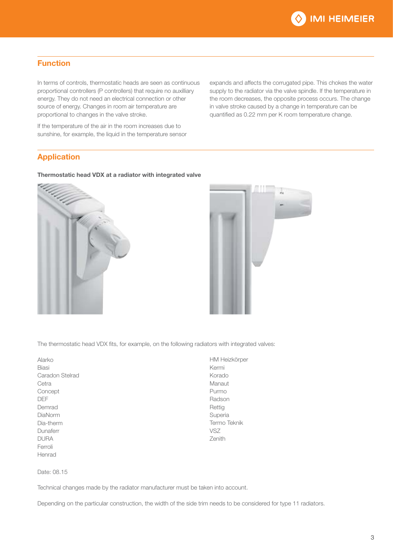

### Function

In terms of controls, thermostatic heads are seen as continuous proportional controllers (P controllers) that require no auxilliary energy. They do not need an electrical connection or other source of energy. Changes in room air temperature are proportional to changes in the valve stroke.

If the temperature of the air in the room increases due to sunshine, for example, the liquid in the temperature sensor expands and affects the corrugated pipe. This chokes the water supply to the radiator via the valve spindle. If the temperature in the room decreases, the opposite process occurs. The change in valve stroke caused by a change in temperature can be quantified as 0.22 mm per K room temperature change.

#### Application

#### Thermostatic head VDX at a radiator with integrated valve





The thermostatic head VDX fits, for example, on the following radiators with integrated valves:

| Alarko          |
|-----------------|
| Biasi           |
| Caradon Stelrad |
| Cetra           |
| Concept         |
| DEE             |
| Demrad          |
| DiaNorm         |
| Dia-therm       |
| Dunaferr        |
| DURA            |
| Ferroli         |
| Henrad          |

HM Heizkörper Kermi Korado Manaut Purmo Radson Rettig Superia Termo Teknik VSZ Zenith

Date: 08.15

Technical changes made by the radiator manufacturer must be taken into account.

Depending on the particular construction, the width of the side trim needs to be considered for type 11 radiators.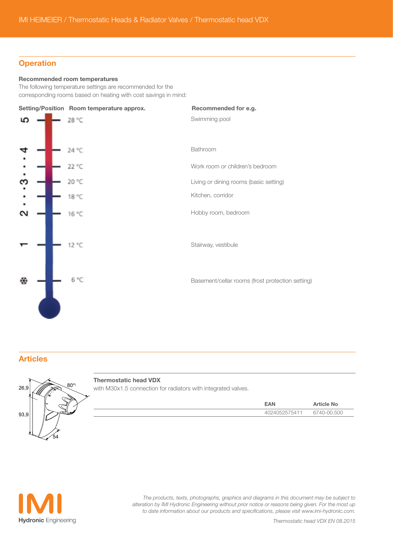#### **Operation**

#### Recommended room temperatures

The following temperature settings are recommended for the corresponding rooms based on heating with cost savings in mind:



#### Articles



#### Thermostatic head VDX

with M30x1.5 connection for radiators with integrated valves.

| $=$ A NI    | <b>Article No</b>            |
|-------------|------------------------------|
| 75411<br>ノト | חחב חח-ר<br>$\sqrt{11}$<br>◡ |



*The products, texts, photographs, graphics and diagrams in this document may be subject to alteration by IMI Hydronic Engineering without prior notice or reasons being given. For the most up to date information about our products and specifications, please visit www.imi-hydronic.com.*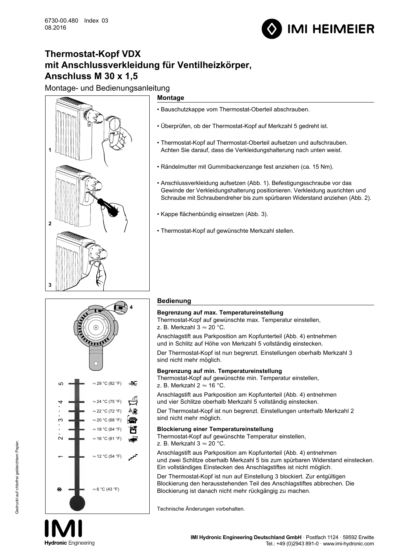

# **Thermostat-Kopf VDX mit Anschlussverkleidung für Ventilheizkörper, Anschluss M 30 x 1,5**

Montage- und Bedienungsanleitung

# **1 2 3**  $\frac{1}{2}$ l II WK6700-00-492

#### **Montage**

- Bauschutzkappe vom Thermostat-Oberteil abschrauben.
- Überprüfen, ob der Thermostat-Kopf auf Merkzahl 5 gedreht ist.
- Thermostat-Kopf auf Thermostat-Oberteil aufsetzen und aufschrauben. Achten Sie darauf, dass die Verkleidungshalterung nach unten weist.
- Rändelmutter mit Gummibackenzange fest anziehen (ca. 15 Nm).
- Anschlussverkleidung aufsetzen (Abb. 1). Befestigungsschraube vor das Gewinde der Verkleidungshalterung positionieren. Verkleidung ausrichten und Schraube mit Schraubendreher bis zum spürbaren Widerstand anziehen (Abb. 2).
- Kappe flächenbündig einsetzen (Abb. 3).
- Thermostat-Kopf auf gewünschte Merkzahl stellen.



#### **Bedienung**

#### **Begrenzung auf max. Temperatureinstellung**

Thermostat-Kopf auf gewünschte max. Temperatur einstellen, z. B. Merkzahl  $3 \approx 20$  °C.

Anschlagstift aus Parkposition am Kopfunterteil (Abb. 4) entnehmen und in Schlitz auf Höhe von Merkzahl 5 vollständig einstecken.

Der Thermostat-Kopf ist nun begrenzt. Einstellungen oberhalb Merkzahl 3 sind nicht mehr möglich.

#### **Begrenzung auf min. Temperatureinstellung**

Thermostat-Kopf auf gewünschte min. Temperatur einstellen, z. B. Merkzahl 2  $\approx$  16 °C.

Anschlagstift aus Parkposition am Kopfunterteil (Abb. 4) entnehmen und vier Schlitze oberhalb Merkzahl 5 vollständig einstecken.

Der Thermostat-Kopf ist nun begrenzt. Einstellungen unterhalb Merkzahl 2 sind nicht mehr möglich.

#### **Blockierung einer Temperatureinstellung**

Thermostat-Kopf auf gewünschte Temperatur einstellen,

z. B. Merkzahl  $3 \approx 20$  °C.

Anschlagstift aus Parkposition am Kopfunterteil (Abb. 4) entnehmen und zwei Schlitze oberhalb Merkzahl 5 bis zum spürbaren Widerstand einstecken. Ein vollständiges Einstecken des Anschlagstiftes ist nicht möglich.

Der Thermostat-Kopf ist nun auf Einstellung 3 blockiert. Zur entgültigen Blockierung den herausstehenden Teil des Anschlagstiftes abbrechen. Die Blockierung ist danach nicht mehr rückgängig zu machen.

Technische Änderungen vorbehalten.

10

**Hydronic** Engineering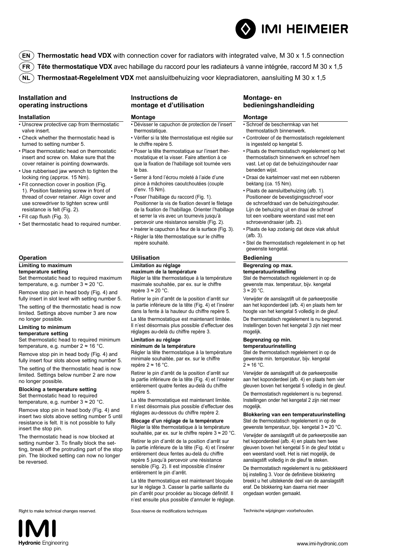

- **EN Thermostatic head VDX** with connection cover for radiators with integrated valve, M 30 x 1.5 connection
- **FR Tête thermostatique VDX** avec habillage du raccord pour les radiateurs à vanne intégrée, raccord M 30 x 1,5
- **NL Thermostaat-Regelelment VDX** met aansluitbehuizing voor klepradiatoren, aansluiting M 30 x 1,5

#### **Installation and operating instructions**

#### **Installation**

- Unscrew protective cap from thermostatic valve insert.
- Check whether the thermostatic head is turned to setting number 5.
- Place thermostatic head on thermostatic insert and screw on. Make sure that the cover retainer is pointing downwards.
- Use rubberised jaw wrench to tighten the locking ring (approx. 15 Nm).
- Fit connection cover in position (Fig. 1). Position fastening screw in front of thread of cover retainer. Align cover and use screwdriver to tighten screw until resistance is felt (Fig. 2).
- Fit cap flush (Fig. 3).
- Set thermostatic head to required number.

#### **Operation**

#### **Limiting to maximum**

**temperature setting** Set thermostatic head to required maximum temperature, e.g. number 3 ≈ 20 °C.

Remove stop pin in head body (Fig. 4) and

fully insert in slot level with setting number 5. The setting of the thermostatic head is now limited. Settings above number 3 are now no longer possible.

#### **Limiting to minimum**

#### **temperature setting**

Set thermostatic head to required minimum temperature, e.g. number 2 ≈ 16 °C.

Remove stop pin in head body (Fig. 4) and fully insert four slots above setting number 5.

The setting of the thermostatic head is now limited. Settings below number 2 are now no longer possible.

#### **Blocking a temperature setting**

Set thermostatic head to required temperature, e.g. number 3 ≈ 20 °C.

Remove stop pin in head body (Fig. 4) and insert two slots above setting number 5 until resistance is felt. It is not possible to fully insert the stop pin.

The thermostatic head is now blocked at setting number 3. To finally block the setting, break off the protruding part of the stop pin. The blocked setting can now no longer be reversed.

Right to make technical changes reserved. Sous réserve de modifications techniques Technische wijzigingen voorbehouden.



#### **Montage**

- Dévisser le capuchon de protection de l'insert thermostatique.
- Vérifier si la tête thermostatique est réglée sur le chiffre repère 5.
- Poser la tête thermostatique sur l'insert thermostatique et la visser. Faire attention à ce que la fixation de l'habillage soit tournée vers le bas.
- Serrer à fond l'écrou moleté à l'aide d'une pince à mâchoires caoutchoutées (couple d'env. 15 Nm).
- Poser l'habillage du raccord (Fig. 1). Positionner la vis de fixation devant le filetage de la fixation de l'habillage. Orienter l'habillage et serrer la vis avec un tournevis jusqu'à percevoir une résistance sensible (Fig. 2).
- Insérer le capuchon à fleur de la surface (Fig. 3).
- Régler la tête thermostatique sur le chiffre repère souhaité.

#### **Utilisation**

#### **Limitation au réglage**

**maximum de la température** Régler la tête thermostatique à la température maximale souhaitée, par ex. sur le chiffre repère 3 ≈ 20 °C.

Retirer le pin d'arrêt de la position d'arrêt sur la partie inférieure de la tête (Fig. 4) et l'insérer dans la fente à la hauteur du chiffre repère 5.

La tête thermostatique est maintenant limitée. Il n'est désormais plus possible d'effectuer des réglages au-delà du chiffre repère 3.

#### **Limitation au réglage minimum de la température**

Régler la tête thermostatique à la température minimale souhaitée, par ex. sur le chiffre repère 2 ≈ 16 °C.

Retirer le pin d'arrêt de la position d'arrêt sur la partie inférieure de la tête (Fig. 4) et l'insérer entièrement quatre fentes au-delà du chiffre repère 5.

La tête thermostatique est maintenant limitée. Il n'est désormais plus possible d'effectuer des réglages au-dessous du chiffre repère 2.

**Blocage d'un réglage de la température** Régler la tête thermostatique à la température souhaitée, par ex. sur le chiffre repère 3 ≈ 20 °C.

Retirer le pin d'arrêt de la position d'arrêt sur la partie inférieure de la tête (Fig. 4) et l'insérer entièrement deux fentes au-delà du chiffre repère 5 jusqu'à percevoir une résistance sensible (Fig. 2). Il est impossible d'insérer entièrement le pin d'arrêt.

La tête thermostatique est maintenant bloquée sur le réglage 3. Casser la partie saillante du pin d'arrêt pour procéder au blocage définitif. Il n'est ensuite plus possible d'annuler le réglage.

#### **Montage- en bedieningshandleiding**

#### **Montage**

- Schroef de beschermkap van het thermostatisch binnenwerk.
- Controleer of de thermostatisch regelelement is ingesteld op kengetal 5.
- Plaats de thermostatisch regelelement op het thermostatisch binnenwerk en schroef hem vast. Let op dat de behuizingshouder naar beneden wijst.
- Draai de kartelmoer vast met een rubberen bektang (ca. 15 Nm).
- Plaats de aansluitbehuizing (afb. 1). Positioneer de bevestigingsschroef voor de schroefdraad van de behuizingshouder. Lijn de behuizing uit en draai de schroef tot een voelbare weerstand vast met een schroevendraaier (afb. 2).
- Plaats de kap zodanig dat deze vlak afsluit  $(afh. 3)$
- Stel de thermostatisch regelelement in op het gewenste kengetal.

#### **Bediening**

#### **Begrenzing op max.**

**temperatuurinstelling**

Stel de thermostatisch regelelement in op de gewenste max. temperatuur, bijv. kengetal  $3 \approx 20$  °C.

Verwijder de aanslagstift uit de parkeerpositie aan het koponderdeel (afb. 4) en plaats hem ter hoogte van het kengetal 5 volledig in de gleuf.

De thermostatisch regelelement is nu begrensd. Instellingen boven het kengetal 3 zijn niet meer mogelijk.

#### **Begrenzing op min.**

#### **temperatuurinstelling**

Stel de thermostatisch regelelement in op de gewenste min. temperatuur, bijv. kengetal  $2 \approx 16 \degree C$ .

Verwijder de aanslagstift uit de parkeerpositie aan het koponderdeel (afb. 4) en plaats hem vier gleuven boven het kengetal 5 volledig in de gleuf.

De thermostatisch regelelement is nu begrensd. Instellingen onder het kengetal 2 zijn niet meer mogelijk.

#### **Blokkering van een temperatuurinstelling** Stel de thermostatisch regelelement in op de gewenste temperatuur, bijv. kengetal 3 ≈ 20 °C.

Verwijder de aanslagstift uit de parkeerpositie aan het koponderdeel (afb. 4) en plaats hem twee gleuven boven het kengetal 5 in de gleuf totdat u een weerstand voelt. Het is niet mogelijk, de aanslagstift volledig in de gleuf te steken.

De thermostatisch regelelement is nu geblokkeerd bij instelling 3. Voor de definitieve blokkering breekt u het uitstekende deel van de aanslagstift eraf. De blokkering kan daarna niet meer ongedaan worden gemaakt.

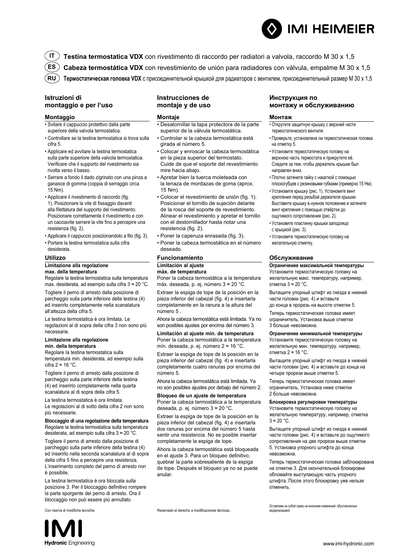**IT Testina termostatica VDX** con rivestimento di raccordo per radiatori a valvola, raccordo M 30 x 1,5 **ES**

**Cabeza termostática VDX** con revestimiento de unión para radiadores con válvula, empalme M 30 x 1,5

**RU Термостатическая головка VDX** с присоединительной крышкой для радиаторов с вентилем, присоединительный размер M 30 x 1,5

#### **Istruzioni di montaggio e per l'uso**

#### **Montaggio**

- Svitare il cappuccio protettivo dalla parte superiore della valvola termostatica.
- Controllare se la testina termostatica si trova sulla cifra 5.
- Applicare ed avvitare la testina termostatica sulla parte superiore della valvola termostatica. Verificare che il supporto del rivestimento sia rivolta verso il basso.
- Serrare a fondo il dado zigrinato con una pinza a ganasce di gomma (coppia di serraggio circa 15 Nm).
- Applicare il rivestimento di raccordo (fig. 1). Posizionare la vite di fissaggio davanti alla filettatura del supporto del rivestimento. Posizionare correttamente il rivestimento e con un cacciavite serrare la vite fino a percepire una resistenza (fig. 2).
- Applicare il cappuccio posizionandolo a filo (fig. 3).
- Portare la testina termostatica sulla cifra desiderata.

#### **Utilizzo**

#### **Limitazione alla regolazione**

**max. della temperatura** Regolare la testina termostatica sulla temperatura max. desiderata, ad esempio sulla cifra 3 ≈ 20 °C.

Togliere il perno di arresto dalla posizione di parcheggio sulla parte inferiore della testina (4) ed inserirlo completamente nella scanalatura all'altezza della cifra 5.

La testina termostatica è ora limitata. Le regolazioni al di sopra della cifra 3 non sono più necessarie.

#### **Limitazione alla regolazione min. della temperatura**

Regolare la testina termostatica sulla temperatura min. desiderata, ad esempio sulla cifra  $2 \approx 16$  °C.

Togliere il perno di arresto dalla posizione di parcheggio sulla parte inferiore della testina (4) ed inserirlo completamente nella quarta scanalatura al di sopra della cifra 5.

La testina termostatica è ora limitata. Le regolazioni al di sotto della cifra 2 non sono più necessarie.

**Bloccaggio di una regolazione della temperatura** Regolare la testina termostatica sulla temperatura desiderata, ad esempio sulla cifra 3 ≈ 20 °C.

Togliere il perno di arresto dalla posizione di parcheggio sulla parte inferiore della testina (4) ed inserirlo nella seconda scanalatura al di sopra della cifra 5 fino a percepire una resistenza. L'inserimento completo del perno di arresto non è possibile.

La testina termostatica è ora bloccata sulla posizione 3. Per il bloccaggio definitivo rompere la parte sporgente del perno di arresto. Ora il bloccaggio non può essere più annullato.

# **Hydronic** Engineering

#### **Instrucciones de montaje y de uso**

#### **Montaje**

- Desatornillar la tapa protectora de la parte superior de la válvula termostática.
- Controlar si la cabeza termostática está girada al número 5.
- Colocar y enroscar la cabeza termostática en la pieza superior del termostato. Cuide de que el soporte del revestimiento mire hacia abajo.
- Apretar bien la tuerca moleteada con la tenaza de mordazas de goma (aprox. 15 Nm).
- Colocar el revestimiento de unión (fig. 1). Posicionar el tornillo de sujeción delante de la rosca del soporte de revestimiento. Alinear el revestimiento y apretar el tornillo con el destornillador hasta notar una resistencia (fig. 2).
- Poner la caperuza enrasada (fig. 3).
- Poner la cabeza termostática en el número deseado.

#### **Funcionamiento**

#### **Limitación al ajuste**

#### **máx. de temperatura**

Poner la cabeza termostática a la temperatura máx. deseada, p. ej. número 3 ≈ 20 °C.

Extraer la espiga de tope de la posición en la pieza inferior del cabezal (fig. 4) e insertarla completamente en la ranura a la altura del número 5 .

Ahora la cabeza termostática está limitada. Ya no son posibles ajustes por encima del número 3.

**Limitación al ajuste mín. de temperatura** Poner la cabeza termostática a la temperatura mín. deseada, p. ej. número 2 ≈ 16 °C.

Extraer la espiga de tope de la posición en la pieza inferior del cabezal (fig. 4) e insertarla completamente cuatro ranuras por encima del número 5.

Ahora la cabeza termostática está limitada. Ya no son posibles ajustes por debajo del número 2.

#### **Bloqueo de un ajuste de temperatura** Poner la cabeza termostática a la temperatura

deseada, p. ej. número 3 ≈ 20 °C. Extraer la espiga de tope de la posición en la pieza inferior del cabezal (fig. 4) e insertarla

dos ranuras por encima del número 5 hasta sentir una resistencia. No es posible insertar completamente la espiga de tope.

Ahora la cabeza termostática está bloqueada en el ajuste 3. Para un bloqueo definitivo, quebrar la parte sobresaliente de la espiga de tope. Después el bloqueo ya no se puede anular.

Con riserva di modifiche tecniche. Reservado el derecho a modificaciones técnicas.

#### **Инструкция по монтажу и обслуживанию**

#### **Монтаж**

- Открутите защитную крышку с верхней части термостатического вентиля.
- Проверьте, установлена ли термостатическая головка на отметку 5.
- Установите термостатическую головку на верхнюю часть термостата и прикрутите её. Следите за тем, чтобы держатель крышки был направлен вниз.
- Плотно затяните гайку с накаткой с помощью плоскогубцев с резиновыми губками (примерно 15 Нм).
- Установите крышку (рис. 1). Установите винт крепления перед резьбой держателя крышки. Выставите крышку в нужное положение и затяните винт крепления с помощью отвёртки до ощутимого сопротивления (рис. 2).
- Установите пластинку крышки заподлицо с крышкой (рис. 3).
- Установите термостатическую головку на желательную отметку.

#### **Обслуживание**

#### **Ограничение максимальной температуры** Установите термостатическую головку на желательную макс. температуру, например, отметка 3 ≈ 20 °C.

Вытащите упорный штифт из гнезда в нижней части головки (рис. 4) и вставьте

до конца в прорезь на высоте отметки 5.

Теперь термостатическая головка имеет ограничитель. Установка выше отметки 3 больше невозможна.

#### **Ограничение минимальной температуры** Установите термостатическую головку на желательную мин. температуру, например, отметка 2 ≈ 16 °C.

Вытащите упорный штифт из гнезда в нижней части головки (рис. 4) и вставьте до конца на четыре прорези выше отметки 5.

Теперь термостатическая головка имеет ограничитель. Установка ниже отметки 2 больше невозможна.

**Блокировка регулировки температуры** Установите термостатическую головку на желательную температуру, например, отметка  $3 \approx 20$  °C.

Вытащите упорный штифт из гнезда в нижней части головки (рис. 4) и вставьте до ощутимого сопротивления на две прорези выше отметки 5. Установка упорного штифта до конца невозможна.

Теперь термостатическая головка заблокирована на отметке 3. Для окончательной блокировки обломайте выступающую часть упорного штифта. После этого блокировку уже нельзя отменить.

Оставляем за собой право на внесение изменений, обусловленных модернизаци

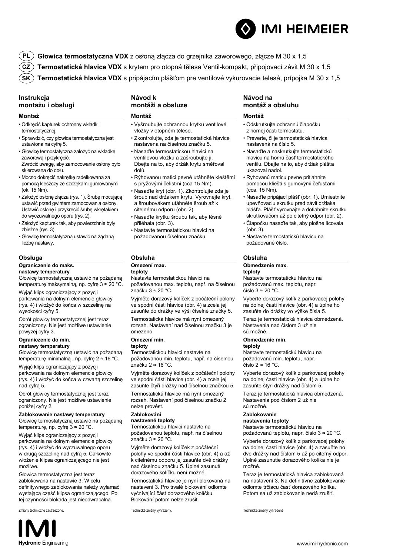

**PL Głowica termostatyczna VDX** z osłoną złącza do grzejnika zaworowego, złącze M 30 x 1,5

**CZ Termostatická hlavice VDX** s krytem pro otopná tělesa Ventil-kompakt, připojovací závit M 30 x 1,5

**SK Termostatická hlavica VDX** s pripájacím plášťom pre ventilové vykurovacie telesá, prípojka M 30 x 1,5

#### **Instrukcja montażu i obsługi**

#### **Montaż**

- Odkręcić kapturek ochronny wkładki termostatycznej.
- Sprawdzić, czy głowica termostatyczna jest ustawiona na cyfrę 5.
- Głowicę termostatyczną założyć na wkładkę zaworową i przykręcić. Zwrócić uwagę, aby zamocowanie osłony było skierowana do dołu.
- Mocno dokręcić nakrętkę radełkowaną za pomocą kleszczy ze szczękami gumowanymi (ok. 15 Nm).
- Założyć osłonę złącza (rys. 1). Śrubę mocującą ustawić przed gwintem zamocowania osłony. Ustawić osłonę i przykręcić śrubę wkrętakiem do wyczuwalnego oporu (rys. 2).
- Założyć kapturek tak, aby powierzchnie były zbieżne (rys. 3).
- Głowicę termostatyczną ustawić na żądaną liczbę nastawy.

#### **Obsługa**

#### **Ograniczenie do maks.**

**nastawy temperatury**

Głowicę termostatyczną ustawić na pożądaną temperaturę maksymalną, np. cyfrę 3 ≈ 20 °C.

Wyjąć klips ograniczający z pozycji parkowania na dolnym elemencie głowicy (rys. 4) i włożyć do końca w szczelinę na wysokości cyfry 5.

Obrót głowicy termostatycznej jest teraz ograniczony. Nie jest możliwe ustawienie powyżej cyfry 3.

#### **Ograniczenie do min. nastawy temperatury**

Głowicę termostatyczną ustawić na pożądaną temperaturę minimalną , np. cyfrę 2 ≈ 16 °C.

Wyjąć klips ograniczający z pozycji parkowania na dolnym elemencie głowicy (rys. 4) i włożyć do końca w czwartą szczelinę nad cyfrą 5.

Obrót głowicy termostatycznej jest teraz ograniczony. Nie jest możliwe ustawienie poniżej cyfry 2.

#### **Zablokowanie nastawy temperatury** Głowicę termostatyczną ustawić na pożądaną

temperaturę, np. cyfrę 3 ≈ 20 °C.

Wyjąć klips ograniczający z pozycji parkowania na dolnym elemencie głowicy (rys. 4) i włożyć do wyczuwalnego oporu w drugą szczelinę nad cyfrą 5. Całkowite włożenie klipsa ograniczającego nie jest możliwe.

Głowica termostatyczna jest teraz zablokowana na nastawie 3. W celu definitywnego zablokowania należy wyłamać wystającą część klipsa ograniczającego. Po tej czynności blokada jest nieodwracalna.



#### **Návod k montáži a obsluze**

#### **Montáž**

- Vyšroubujte ochrannou krytku ventilové vložky v otopném tělese.
- Zkontrolujte, zda je termostatická hlavice nastavena na číselnou značku 5.
- Nasaďte termostatickou hlavici na ventilovou vložku a zašroubujte ji. Dbejte na to, aby držák krytu směřoval dolů.
- Rýhovanou matici pevně utáhněte kleštěmi s pryžovými čelistmi (cca 15 Nm).
- Nasaďte kryt (obr. 1). Zkontrolujte zda je šroub nad držákem krytu. Vyrovnejte kryt, a šroubovákem utáhněte šroub až k citelnému odporu (obr. 2).
- Nasaďte krytku šroubu tak, aby těsně přiléhala (obr. 3).
- Nastavte termostatickou hlavici na požadovanou číselnou značku.

#### **Obsluha**

#### **Omezení max.**

**teploty** Nastavte termostatickou hlavici na

požadovanou max. teplotu, např. na číselnou značku 3 ≈ 20 °C.

Vyjměte dorazový kolíček z počáteční polohy ve spodní části hlavice (obr. 4) a zcela jej zasuňte do drážky ve výši číselné značky 5.

Termostatická hlavice má nyní omezený rozsah. Nastavení nad číselnou značku 3 je omezeno.

#### **Omezení min.**

#### **teploty**

Termostatickou hlavici nastavte na požadovanou min. teplotu, např. na číselnou .<br>značku 2 ≈ 16 °C.

Vyjměte dorazový kolíček z počáteční polohy ve spodní části hlavice (obr. 4) a zcela jej zasuňte čtyři drážky nad číselnou značkou 5.

Termostatická hlavice má nyní omezený rozsah. Nastavení pod číselnou značku 2 nelze provést.

#### **Zablokování**

#### **nastavené teploty**

Termostatickou hlavici nastavte na požadovanou teplotu, např. na číselnou značku 3 ≈ 20 °C.

Vyjměte dorazový kolíček z počáteční polohy ve spodní části hlavice (obr. 4) a až k citelnému odporu jej zasuňte dvě drážky nad číselnou značku 5. Úplné zasunutí dorazového kolíčku není možné.

Termostatická hlavice je nyní blokovaná na nastavení 3. Pro trvalé blokování odlomte vyčnívající část dorazového kolíčku. Blokování potom nelze zrušit.

#### **Návod na montáž a obsluhu**

#### **Montáž**

- Odskrutkujte ochrannú čiapočku z hornej časti termostatu.
- Preverte, či je termostatická hlavica nastavená na číslo 5.
- Nasaďte a naskrutkujte termostatickú hlavicu na hornú časť termostatického ventilu. Dbajte na to, aby držiak plášťa ukazoval nadol.
- Ryhovanú maticu pevne pritiahnite pomocou klieští s gumovými čeľusťami (cca. 15 Nm).
- Nasaďte pripájací plášť (obr. 1). Umiestnite upevňovaciu skrutku pred závit držiaka plášťa. Plášť vyrovnajte a dotiahnite skrutku skrutkovačom až po citeľný odpor (obr. 2).
- Čiapočku nasaďte tak, aby plošne lícovala (obr. 3).
- Nastavte termostatickú hlavicu na požadované číslo.

#### **Obsluha**

#### **Obmedzenie max.**

## **teploty**

na dolnej časti hlavice (obr. 4) a úplne ho zasuňte do drážky vo výške čísla 5.

Nastavenia nad číslom 3 už nie sú možné.

#### **Obmedzenie min.**

#### **teploty**

Nastavte termostatickú hlavicu na požadovanú min. teplotu, napr. číslo 2 ≈ 16 °C.

Vyberte dorazový kolík z parkovacej polohy na dolnej časti hlavice (obr. 4) a úplne ho zasuňte štyri drážky nad číslom 5.

Teraz je termostatická hlavica obmedzená. Nastavenia pod číslom 2 už nie sú možné.

#### **Zablokovanie**

#### **nastavenia teploty**

Nastavte termostatickú hlavicu na požadovanú teplotu, napr. číslo 3 ≈ 20 °C.

Vyberte dorazový kolík z parkovacej polohy na dolnej časti hlavice (obr. 4) a zasuňte ho dve drážky nad číslom 5 až po citeľný odpor. Úplné zasunutie dorazového kolíka nie je možné.

Teraz je termostatická hlavica zablokovaná na nastavení 3. Na definitívne zablokovanie odlomte trčiacu časť dorazového kolíka. Potom sa už zablokovanie nedá zrušiť.

v techniczne zastrzeżone. Technické změny vyhrazeny. Technické změny vyhrazeny. Technické zmeny vyhradené.

Nastavte termostatickú hlavicu na požadovanú max. teplotu, napr. číslo 3 ≈ 20 °C.

Vyberte dorazový kolík z parkovacej polohy

Teraz je termostatická hlavica obmedzená.

www.imi-hydronic.com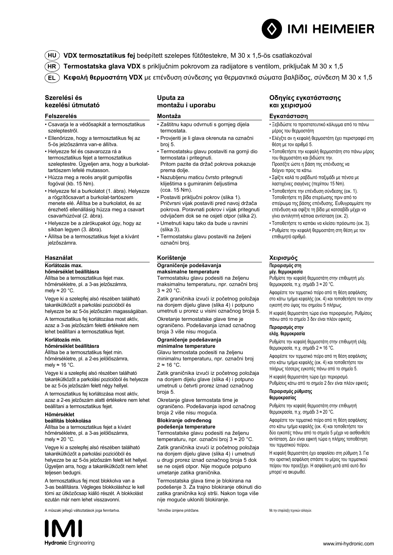**HU VDX termosztatikus fej** beépített szelepes fűtőtestekre, M 30 x 1,5-ös csatlakozóval

- **HR Termostatska glava VDX** s priključnim pokrovom za radijatore s ventilom, priključak M 30 x 1,5
- **EL Κεφαλή θερμοστάτη VDX** με επένδυση σύνδεσης για θερμαντικά σώματα βαλβίδας, σύνδεση M 30 x 1,5

#### **Szerelési és kezelési útmutató**

#### **Felszerelés**

- Csavarja le a védősapkát a termosztatikus szeleptestről.
- Ellenőrizze, hogy a termosztatikus fej az 5-ös jelzőszámra van-e állítva.
- Helyezze fel és csavarozza rá a termosztatikus fejet a termosztatikus szeleptestre. Ügyeljen arra, hogy a burkolattartószem lefelé mutasson.
- Húzza meg a recés anyát gumipofás fogóval (kb. 15 Nm).
- Helyezze fel a burkolatot (1. ábra). Helyezze a rögzítőcsavart a burkolat-tartószem menete elé. Állítsa be a burkolatot, és az érezhető ellenállásig húzza meg a csavart csavarhúzóval (2. ábra).
- Helyezze be a zárókupakot úgy, hogy az síkban legyen (3. ábra).
- Állítsa be a termosztatikus fejet a kívánt jelzőszámra.

#### **Használat**

#### **Korlátozás max.**

#### **hőmérséklet beállításra**

Állítsa be a termosztatikus fejet max. hőmérsékletre, pl. a 3-as jelzőszámra, mely  $≈ 20 °C$ .

Vegye ki a szelepfej alsó részében található takarékütközőt a parkolási pozicióból és helyezze be az 5-ös jelzőszám magasságában.

A termosztatikus fej korlátozása most aktív, azaz a 3-as jelzőszám feletti értékekre nem lehet beállítani a termosztatikus fejet.

#### **Korlátozás min.**

#### **hőmérséklet beállításra**

Állítsa be a termosztatikus fejet min. hőmérsékletre, pl. a 2-es jelölőszámra, mely  $≈ 16 °C$ .

Vegye ki a szelepfej alsó részében található takarékütközőt a parkolási pozicióból és helyezze be az 5-ös jelzőszám felett négy hellyel.

A termosztatikus fej korlátozása most aktív, azaz a 2-es jelzőszám alatti értékekre nem lehet beállítani a termosztatikus fejet.

#### **Hőmérséklet**

#### **beállítás blokkolása**

Állítsa be a termosztatikus fejet a kívánt hőmérsékletre, pl. a 3-as jelölőszámra, mely  $≈ 20 °C$ .

Vegye ki a szelepfej alsó részében található takarékütközőt a parkolási pozicióból és helyezze be az 5-ös jelzőszám felett két hellyel. Ügyeljen arra, hogy a takarékütközőt nem lehet teljesen bedugni.

A termosztatikus fej most blokkolva van a 3-as beállításra. Végleges blokkoláshoz le kell törni az ütközőcsap kiálló részét. A blokkolást ezután már nem lehet visszavonni.

zaki jellegű változtatások joga fenntartva. **Tehničke izmjene pridržane.** Με την επιφύλαξη τεχνικών αλλαγών αλλαγών

#### **Uputa za montažu i uporabu**

#### **Montaža**

- Zaštitnu kapu odvrnuti s gornjeg dijela termostata.
- Provjeriti je li glava okrenuta na označni broj 5.
- Termostatsku glavu postaviti na gornji dio termostata i pritegnuti. Pritom pazite da držač pokrova pokazuje prema dolje.
- Nazubljenu maticu čvrsto pritegnuti kliještima s gumiranim čeljustima (cca. 15 Nm).
- Postaviti priključni pokrov (slika 1). Pričvrsni vijak postaviti pred navoj držača pokrova. Poravnati pokrov i vijak pritegnuti odvijačem dok se ne osjeti otpor (slika 2).
- Umetnuti kapu tako da bude u ravnini (slika 3).
- Termostatsku glavu postaviti na željeni označni broj.

#### **Korištenje**

#### **Ograničenje podešavanja**

**maksimalne temperature** Termostatsku glavu podesiti na željenu maksimalnu temperaturu, npr. označni broj

 $3 \approx 20$  °C.

Zatik graničnika izvući iz početnog položaja na donjem dijelu glave (slika 4) i potpuno umetnuti u prorez u visini označnog broja 5.

Okretanje termostatske glave time je ograničeno. Podešavanja iznad označnog broja 3 više nisu moguća.

#### **Ograničenje podešavanja minimalne temperature**

Glavu termostata podesiti na željenu minimalnu temperaturu, npr. označni broj  $2 \approx 16 \text{ °C}.$ 

Zatik graničnika izvući iz početnog položaja na donjem dijelu glave (slika 4) i potpuno umetnuti u četvrti prorez iznad označnog broja 5.

Okretanje glave termostata time je ograničeno. Podešavanja ispod označnog broja 2 više nisu moguća.

#### **Blokiranje određenog podešenja temperature**

Termostatske glavu podesiti na željenu temperaturu, npr. označni broj 3 ≈ 20 °C.

Zatik graničnika izvući iz početnog položaja na donjem dijelu glave (slika 4) i umetnuti u drugi prorez iznad označnog broja 5 dok se ne osjeti otpor. Nije moguće potpuno umetanje zatika graničnika.

Termostatska glava time je blokirana na podešenje 3. Za trajno blokiranje otkinuti dio zatika graničnika koji strši. Nakon toga više nije moguće ukloniti blokiranje.

#### **Οδηγίες εγκατάστασης και χειρισμού**

#### **Εγκατάσταση**

- Ξεβιδώστε το προστατευτικό κάλυμμα από το πάνω μέρος του θερμοστάτη
- Ελέγξτε αν η κεφαλή θερμοστάτη έχει περιστραφεί στη θέση με τον αριθμό 5.
- Τοποθετήστε την κεφαλή θερμοστάτη στο πάνω μέρος του θερμοστάτη και βιδώστε την. Προσέξτε ώστε η βάση της επένδυσης να δείχνει προς τα κάτω.
- Σφίξτε καλά το ραβδωτό παξιμάδι με πένσα με λαστιχένιες σιαγόνες (περίπου 15 Nm).
- Τοποθετήστε την επένδυση σύνδεσης (εικ. 1). Τοποθετήστε τη βίδα στερέωσης πριν από το σπείρωμα της βάσης επένδυσης. Ευθυγραμμίστε την επένδυση και σφίξτε τη βίδα με κατσαβίδι μέχρι να γίνει αντιληπτή κάποια αντίσταση (εικ. 2).
- Τοποθετήστε το καπάκι να κλείσει πρόσωπο (εικ. 3).
- Ρυθμίστε την κεφαλή θερμοστάτη στη θέση με τον επιθυμητό αριθμό.

#### **Χειρισμός**

#### **Περιορισμός στη**

#### **μέγ. θερμοκρασία**

Ρυθμίστε την κεφαλή θερμοστάτη στην επιθυμητή μέγ. θερμοκρασία, π.χ. σημάδι 3 ≈ 20 °C.

Αφαιρέστε τον τερματικό πείρο από τη θέση ασφάλισης στο κάτω τμήμα κεφαλής (εικ. 4) και τοποθετήστε τον στην εγκοπή στο ύψος του σημείου 5 πλήρως.

Η κεφαλή θερμοστάτη τώρα είναι περιορισμένη. Ρυθμίσεις πάνω από το σημείο 3 δεν είναι πλέον εφικτές.

#### **Περιορισμός στην**

#### **ελάχ. θερμοκρασία**

Ρυθμίστε την κεφαλή θερμοστάτη στην επιθυμητή ελάχ. θερμοκρασία, π.χ. σημάδι 2 ≈ 16 °C.

Αφαιρέστε τον τερματικό πείρο από τη θέση ασφάλισης στο κάτω τμήμα κεφαλής (εικ. 4) και τοποθετήστε τον πλήρως τέσσερις εγκοπές πάνω από το σημείο 5.

Η κεφαλή θερμοστάτη τώρα έχει περιορισμό.

Ρυθμίσεις κάτω από το σημείο 2 δεν είναι πλέον εφικτές. **Περιορισμός ρύθμισης** 

#### **θερμοκρασίας**

Ρυθμίστε την κεφαλή θερμοστάτη στην επιθυμητή θερμοκρασία, π.χ. σημάδι 3 ≈ 20 °C.

Αφαιρέστε τον τερματικό πείρο από τη θέση ασφάλισης στο κάτω τμήμα κεφαλής (εικ. 4) και τοποθετήστε τον δύο εγκοπές πάνω από το σημείο 5 μέχρι να αισθανθείτε αντίσταση. Δεν είναι εφικτή τώρα η πλήρης τοποθέτηση του τερματικού πείρου.

Η κεφαλή θερμοστάτη έχει ασφαλίσει στη ρύθμιση 3. Για την οριστική ασφάλιση σπάστε το μέρος του τερματικού πείρου που προεξέχει. Η ασφάλιση μετά από αυτό δεν μπορεί να ακυρωθεί.



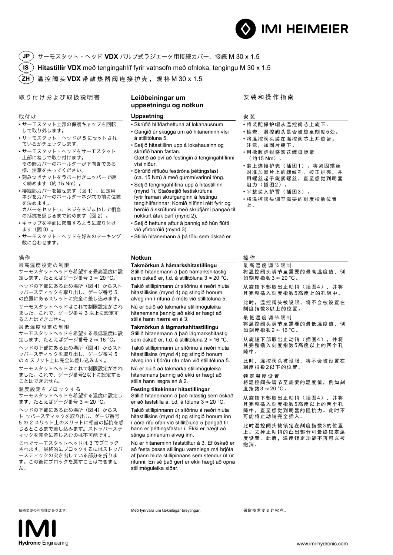

**JP** サーモスタット・ヘッド **VDX** バルブ式ラジエータ用接続カバー、接続 M 30 x 1.5 **IS ZH Hitastillir VDX** með tengingahlíf fyrir vatnsofn með ofnloka, tengingu M 30 x 1,5 温控阀头 **VDX** 带散热器阀连接护壳,规格 M 30 x 1.5

取り付けおよび取扱説明書 **Leiðbeiningar um** 

#### 取付け

- サーモスタット上部の保護キャップを回転 して取り外します。
- サーモスタット・ヘッドが 5 にセットされ ているかチェックします。
- サーモスタット・ヘッドをサーモスタット 上部にねじで取り付けます。 その時カバーのホールダーが下向きである 様、注意を払ってください。
- 刻みつきナットをラバー付きニッパーで硬 く締めます(約 15 Nm)。
- 接続部カバーを被せます(図 1)。固定用 ネジをカバーのホールダーネジ穴の前に位置 を決めます。 カバーをセットし、ネジをネジまわしで相当
- の抵抗を感じるまで締めます (図 2)。 • キャップを平面に密着するように取り付け ます(図 3)。
- サーモスタット・ヘッドを好みのマーキング 数に合わせます。

#### 操作

最高温度設定の制限 サーモスタットヘッドを希望する最高温度に設 定します、たとえばゲージ番号 3 � 20 °C。

ヘッドの下部にある止め場所(図4)からスト ッパースティックを取り出し、ゲージ番号 5 の位置にあるスリットに完全に差し込みます。

サーモスタットヘッドはこれで制限設定がされ ました。これで、ゲージ番号 3 以上に設定す ることはできません。

#### 最低温度設定の制限

サーモスタットヘッドを希望する最低温度に設 定します、たとえばゲージ番号 2 � 16 °C。 ヘッドの下部にある止め場所 (図 4) からスト ッパースティックを取り出し、ゲージ番号 5 の 4 スリット上に完全に差し込みます。

サーモスタットヘッドはこれで制限設定がされ ました。これで、ゲージ番号2以下に設定する ことはできません。

温度設定をブロックする

サーモスタットヘッドを希望する温度に設定し ます、たとえばゲージ番号 3 � 20 °C。

ヘッドの下部にある止め場所 (図 4) からス ト ッパースティックを取り出し、ゲージ番号 5 の 2 スリット上のスリットに相当の抵抗を感 じるところまで差し込みます。ストッパーステ ィックを完全に差し込むのは不可能です。

これでサーモスタットヘッドは 3 でブロック されます。最終的にブロックするにはストッパ ースティックの突き出している部分を折りま す。この後にブロックを戻すことはできませ ん。

# **uppsetningu og notkun**

#### **Uppsetning**

- Skrúfið hlífðarhettuna af lokahausnum. • Gangið úr skugga um að hitaneminn vísi á stillitöluna 5. • Setjið hitastillinn upp á lokahausinn og
- skrúfið hann fastan. Gætið að því að festingin á tengingahlífinni vísi niður.
- Skrúfið riffluðu festiróna þéttingsfast (ca. 15 Nm) á með gúmmívarinni töng.
- Setjið tengingahlífina upp á hitastillinn (mynd 1). Staðsetjið festiskrúfuna fyrir framan skrúfganginn á festingu tengihlífarinnar. Komið hlífinni rétt fyrir og herðið á skrúfunni með skrúfjárni þangað til nokkurt átak þarf (mynd 2).
- Setjið hettuna aftur á þannig að hún flútti við yfirborðið (mynd 3).
- Stillið hitanemann á þá tölu sem óskað er.

#### **Notkun**

**Takmörkun á hámarkshitastillingu** Stillið hitanemann á það hámarkshitastig

sem óskað er, t.d. á stillitöluna 3 ≈ 20 °C. Takið stillipinnann úr slíðrinu á neðri hluta

hitastillisins (mynd 4) og stingið honum alveg inn í rifuna á móts við stillitöluna 5.

Nú er búið að takmarka stillimöguleika hitanemans þannig að ekki er hægt að stilla hann hærra en á 3.

**Takmörkun á lágmarkshitastillingu**

Stillið hitanemann á það lágmarkshitastig sem óskað er, t.d. á stillitöluna 2 ≈ 16 °C. Takið stillipinnann úr slíðrinu á neðri hluta hitastillisins (mynd 4) og stingið honum

alveg inn í fjórðu rifu ofan við stillitöluna 5. Nú er búið að takmarka stillimöguleika

hitanemans þannig að ekki er hægt að stilla hann lægra en á 2.

#### **Festing tiltekinnar hitastillingar** Stillið hitanemann á það hitastig sem óskað

er að faststilla á, t.d. á töluna 3 ≈ 20 °C.

Takið stillipinnann úr slíðrinu á neðri hluta hitastillisins (mynd 4) og stingið honum inn í aðra rifu ofan við stillitöluna 5 þangað til hann er þéttingsfastur í. Ekki er hægt að stinga pinnanum alveg inn.

Nú er hitaneminn faststilltur á 3. Ef óskað er að festa þessa stillingu varanlega má brjóta af þann hluta stillipinnans sem stendur út úr rifunni. En sé það gert er ekki hægt að opna stillimöguleika síðar.

安装和操作指南

#### 安 装

- 将装配保护帽从温控阀芯上旋下。
- 检查,温控阀头是否被旋至刻度5处。
- 将温控阀头装在温控阀芯上并旋紧。 注意,加固片朝下。
- 用橡胶虎钳将滚花螺母旋紧 (约15 Nm)。
- 装上连接护壳(插图1)。将紧固螺丝 对准加固片上的螺纹孔。校正护壳,并 用螺丝起子旋紧螺丝,直至感觉到明显 阻力(插图2)
- 平整装入护冒(插图3)
- 将温控阀头调至需要的刻度指数位置 上。

#### 操 作

最 高 温 度 调 节 限 制 将温控阀头调节至需要的最高温度值,例 如刻度指数 $3 \approx 20$  °C。

从旋钮下部取出止动销(插图4),并将 其完整插入刻度指数5高度上的孔隙中。

此时,温控阀头被设限,将不会被设置在 刻度指数3以上的位置。

最 低 温 度 调 节 限 制 将温控阀头调节至需要的最低温度值,例 如刻度指数2 � 16 °C。

从旋钮下部取出止动销(插图4),并将 其完整插入刻度指数5高度以上的四个孔 隙中。

此时,温控阀头被设限,将不会被设置在 刻度指数2以下的位置。

锁定温度设置 将温控阀头调节至需要的温度值,例如刻 度指数3 � 20 °C。

从旋钮下部取出止动销(插图4),并将 其完整插入刻度指数5高度以上的两个孔 隙中,直至感觉到明显的阻抗力。此时不 可能将止动销完全插入。

此时温控阀头被锁定在刻度指数3的位置 上。去掉止动销的凸出部分可最终锁定温 度设置。此后,温度锁定功能不再可以被 撤消。



技術変更の可能性があります。 Með fyrirvara um tæknilegar breytingar. Með fyrirvara um tæknilegar breytingar. インディング 保留技术 变更的权利。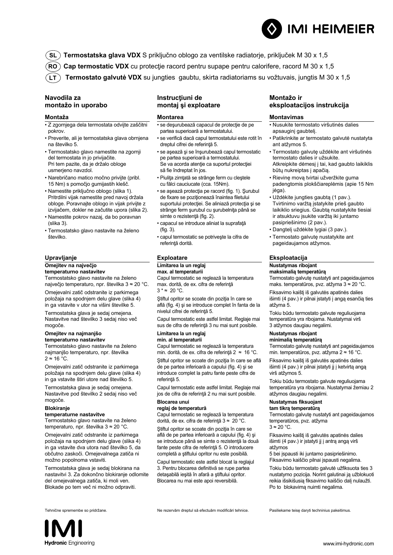- **SL Termostatska glava VDX** S priključno oblogo za ventilske radiatorje, priključek M 30 x 1,5
- **RO ) Cap termostatic VDX** cu protecţie racord pentru supape pentru calorifere, racord M 30 x 1,5
- **LT Termostato galvutė VDX** su jungties gaubtu, skirta radiatoriams su vožtuvais, jungtis M 30 x 1,5

#### **Navodila za montažo in uporabo**

#### **Montaža**

- Z zgornjega dela termostata odvijte zaščitni pokrov.
- Preverite, ali je termostatska glava obrnjena na številko 5.
- Termostatsko glavo namestite na zgornji del termostata in jo privijačite. Pri tem pazite, da je držalo obloge usmerjeno navzdol.
- Narebričano matico močno privijte (pribl. 15 Nm) s pomočjo gumijastih klešč.
- Namestite priključno oblogo (slika 1). Pritrdilni vijak namestite pred navoj držala obloge. Poravnajte oblogo in vijak privijte z izvijačem, dokler ne začutite upora (slika 2).
- Namestite pokrov nazaj, da bo poravnan (slika 3).
- Termostatsko glavo nastavite na želeno številko.

#### **Upravljanje**

#### **Omejitev na največjo**

**temperaturno nastavitev** Termostatsko glavo nastavite na želeno največjo temperaturo, npr. številka 3 ≈ 20 °C. Omejevalni zatič odstranite iz parkirnega položaja na spodnjem delu glave (slika 4) in ga vstavite v utor na višini številke 5. Termostatska glava je sedaj omejena. Nastavitve nad številko 3 sedaj niso več mogoče.

#### **Omejitev na najmanjšo temperaturno nastavitev**

Termostatsko glavo nastavite na želeno najmanjšo temperaturo, npr. številka  $2 \approx 16$  °C.

Omejevalni zatič odstranite iz parkirnega položaja na spodnjem delu glave (slika 4) in ga vstavite štiri utore nad številko 5.

Termostatska glava je sedaj omejena. Nastavitve pod številko 2 sedaj niso več mogoče.

#### **Blokiranje**

#### **temperaturne nastavitve**

Termostatsko glavo nastavite na želeno temperaturo, npr. številka 3 ≈ 20 °C.

Omejevalni zatič odstranite iz parkirnega položaja na spodnjem delu glave (slika 4) in ga vstavite dva utora nad številko 5, da občutno zaskoči. Omejevalnega zatiča ni možno popolnoma vstaviti.

Termostatska glava je sedaj blokirana na nastavitvi 3. Za dokončno blokiranje odlomite del omejevalnega zatiča, ki moli ven. Blokade po tem več ni možno odpraviti.

#### **Instrucţiuni de montaj şi exploatare**

#### **Montarea**

- se deşurubează capacul de protecţie de pe partea superioară a termostatului.
- se verifică dacă capul termostatului este rotit în dreptul cifrei de referință 5.
- se aşează şi se înşurubează capul termostatic pe partea superioară a termostatului. Se va acorda atenţie ca suportul protecţiei să fie îndreptat în jos.
- Piulita zimtată se strânge ferm cu clestele cu fălci cauciucate (cca. 15Nm).
- se aşează protecţia pe racord (fig. 1). Şurubul de fixare se poziţionează înaintea filetului suportului protecţiei. Se aliniază protecţia şi se strânge ferm şurubul cu şurubelniţa până se simte o rezistenţă (fig. 2).
- capacul se introduce aliniat la suprafaţă  $(fia 3)$
- capul termostatic se potriveşte la cifra de referintă dorită.

#### **Exploatare**

#### **Limitarea la un reglaj**

**max. al temperaturii** Capul termostatic se reglează la temperatura max. dorită, de ex. cifra de referinţă  $3 * \approx 20$  °C.

Ştiftul opritor se scoate din poziţia în care se află (fig. 4) şi se introduce complet în fanta de la nivelul cifrei de referintă 5.

Capul termostatic este astfel limitat. Reglaje mai sus de cifra de referinţă 3 nu mai sunt posibile.

#### **Limitarea la un reglaj min. al temperaturii**

Capul termostatic se reglează la temperatura min. dorită, de ex. cifra de referinţă 2 ≈ 16 °C.

Stiftul opritor se scoate din poziția în care se află de pe partea inferioară a capului (fig. 4) şi se introduce complet la patru fante peste cifra de referință 5.

Capul termostatic este astfel limitat. Reglaje mai jos de cifra de referinţă 2 nu mai sunt posibile.

#### **Blocarea unui**

#### **reglaj de temperatură**

Capul termostatic se reglează la temperatura dorită, de ex. cifra de referinţă 3 ≈ 20 °C.

Ştiftul opritor se scoate din poziţia în care se află de pe partea inferioară a capului (fig. 4) şi se introduce până se simte o rezistenţă la două fante peste cifra de referinţă 5. O introducere completă a ştiftului opritor nu este posibilă.

Capul termostatic este astfel blocat la reglajul 3. Pentru blocarea definitivă se rupe partea detaşabilă ieşită în afară a ştiftului opritor. Blocarea nu mai este apoi reversibilă.

#### **Montažo ir eksploatacijos instrukcija**

#### **Montavimas**

- Nusukite termostato viršutinės dalies apsauginį gaubtelį.
- Patikrinkite ar termostato galvutė nustatyta ant atžymos 5.
- Termostato galvutę uždėkite ant viršutinės termostato dalies ir užsukite. Atkreipkite dėmesį į tai, kad gaubto laikiklis būtų nukreiptas į apačią.
- Rievinę movą tvirtai užveržkite guma padengtomis plokščiareplėmis (apie 15 Nm jėga).
- Uždėkite jungties gaubtą (1 pav.). Tvirtinimo varžtą įstatykite prieš gaubto laikiklio sriegius. Gaubtą nustatykite tiesiai ir atsuktuvu įsukite varžtą iki juntamo pasipriešinimo (2 pav.).
- Dangtelį uždėkite lygiai (3 pav.).
- Termostato galvutę nustatykite ant pageidaujamos atžymos.

#### **Eksploatacija**

#### **Nustatymas ribojant**

**maksimalią temperatūrą**  Termostato galvutę nustatyti ant pageidaujamos maks. temperatūros, pvz. atžyma 3 ≈ 20 °C.

Fiksavimo kaištį iš galvutės apatinės dalies išimti (4 pav.) ir pilnai įstatyti į angą esančią ties atžyma 5.

Tokiu būdu termostato galvute reguliuojama temperatūra yra ribojama. Nustatymai virš 3 atžymos daugiau negalimi.

#### **Nustatymas ribojant**

**minimalią temperatūrą**  Termostato galvutę nustatyti ant pageidaujamos min. temperatūros, pvz. atžyma 2 ≈ 16 °C.

Fiksavimo kaištį iš galvutės apatinės dalies išimti (4 pav.) ir pilnai įstatyti jį į ketvirtą angą virš atžymos 5.

Tokiu būdu termostato galvute reguliuojama temperatūra yra ribojama. Nustatymai žemiau 2 atžymos daugiau negalimi.

#### **Nustatymas fiksuojant**

**tam tikrą temperatūrą** 

Termostato galvutę nustatyti ant pageidaujamos temperatūros, pvz. atžyma  $3 ≈ 20 °C$ .

Fiksavimo kaištį iš galvutės apatinės dalies išimti (4 pav.) ir įstatyti jį į antrą angą virš atžymos

5 bei įspausti iki juntamo pasipriešinimo. Fiksavimo kaiščio pilnai įspausti negalima.

Tokiu būdu termostato galvutė užfiksuota ties 3 nustatymo pozicija. Norint galutinai ją užblokuoti reikia išsikišusią fiksavimo kaiščio dalį nulaužti. Po to blokavimą nuimti negalima.